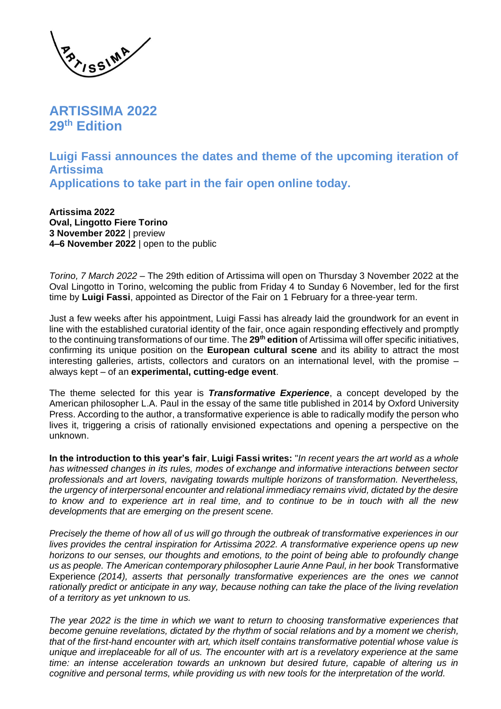

**ARTISSIMA 2022 29th Edition** 

**Luigi Fassi announces the dates and theme of the upcoming iteration of Artissima Applications to take part in the fair open online today.**

**Artissima 2022 Oval, Lingotto Fiere Torino 3 November 2022** | preview **4–6 November 2022** | open to the public

*Torino, 7 March 2022* – The 29th edition of Artissima will open on Thursday 3 November 2022 at the Oval Lingotto in Torino, welcoming the public from Friday 4 to Sunday 6 November, led for the first time by **Luigi Fassi**, appointed as Director of the Fair on 1 February for a three-year term.

Just a few weeks after his appointment, Luigi Fassi has already laid the groundwork for an event in line with the established curatorial identity of the fair, once again responding effectively and promptly to the continuing transformations of our time. The **29th edition** of Artissima will offer specific initiatives, confirming its unique position on the **European cultural scene** and its ability to attract the most interesting galleries, artists, collectors and curators on an international level, with the promise – always kept – of an **experimental, cutting-edge event**.

The theme selected for this year is *Transformative Experience*, a concept developed by the American philosopher L.A. Paul in the essay of the same title published in 2014 by Oxford University Press. According to the author, a transformative experience is able to radically modify the person who lives it, triggering a crisis of rationally envisioned expectations and opening a perspective on the unknown.

**In the introduction to this year's fair**, **Luigi Fassi writes:** "*In recent years the art world as a whole has witnessed changes in its rules, modes of exchange and informative interactions between sector professionals and art lovers, navigating towards multiple horizons of transformation. Nevertheless, the urgency of interpersonal encounter and relational immediacy remains vivid, dictated by the desire to know and to experience art in real time, and to continue to be in touch with all the new developments that are emerging on the present scene.* 

*Precisely the theme of how all of us will go through the outbreak of transformative experiences in our lives provides the central inspiration for Artissima 2022. A transformative experience opens up new horizons to our senses, our thoughts and emotions, to the point of being able to profoundly change us as people. The American contemporary philosopher Laurie Anne Paul, in her book* Transformative Experience *(2014), asserts that personally transformative experiences are the ones we cannot rationally predict or anticipate in any way, because nothing can take the place of the living revelation of a territory as yet unknown to us.*

*The year 2022 is the time in which we want to return to choosing transformative experiences that become genuine revelations, dictated by the rhythm of social relations and by a moment we cherish, that of the first-hand encounter with art, which itself contains transformative potential whose value is unique and irreplaceable for all of us. The encounter with art is a revelatory experience at the same time: an intense acceleration towards an unknown but desired future, capable of altering us in cognitive and personal terms, while providing us with new tools for the interpretation of the world.*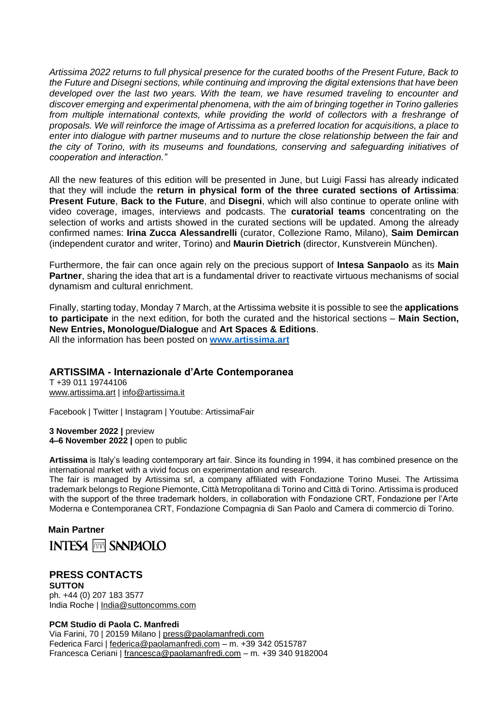*Artissima 2022 returns to full physical presence for the curated booths of the Present Future, Back to the Future and Disegni sections, while continuing and improving the digital extensions that have been*  developed over the last two years. With the team, we have resumed traveling to encounter and *discover emerging and experimental phenomena, with the aim of bringing together in Torino galleries*  from multiple international contexts, while providing the world of collectors with a freshrange of *proposals. We will reinforce the image of Artissima as a preferred location for acquisitions, a place to enter into dialogue with partner museums and to nurture the close relationship between the fair and the city of Torino, with its museums and foundations, conserving and safeguarding initiatives of cooperation and interaction."* 

All the new features of this edition will be presented in June, but Luigi Fassi has already indicated that they will include the **return in physical form of the three curated sections of Artissima**: **Present Future**, **Back to the Future**, and **Disegni**, which will also continue to operate online with video coverage, images, interviews and podcasts. The **curatorial teams** concentrating on the selection of works and artists showed in the curated sections will be updated. Among the already confirmed names: **Irina Zucca Alessandrelli** (curator, Collezione Ramo, Milano), **Saim Demircan** (independent curator and writer, Torino) and **Maurin Dietrich** (director, Kunstverein München).

Furthermore, the fair can once again rely on the precious support of **Intesa Sanpaolo** as its **Main Partner**, sharing the idea that art is a fundamental driver to reactivate virtuous mechanisms of social dynamism and cultural enrichment.

Finally, starting today, Monday 7 March, at the Artissima website it is possible to see the **applications to participate** in the next edition, for both the curated and the historical sections – **Main Section, New Entries, Monologue/Dialogue** and **Art Spaces & Editions**. All the information has been posted on **[www.artissima.art](https://www.artissima.art/en/)**

## **ARTISSIMA - Internazionale d'Arte Contemporanea**

T +39 011 19744106 www.artissima.art | info@artissima.it

Facebook | Twitter | Instagram | Youtube: ArtissimaFair

**3 November 2022 |** preview **4–6 November 2022 |** open to public

**Artissima** is Italy's leading contemporary art fair. Since its founding in 1994, it has combined presence on the international market with a vivid focus on experimentation and research.

The fair is managed by Artissima srl, a company affiliated with Fondazione Torino Musei. The Artissima trademark belongs to Regione Piemonte, Città Metropolitana di Torino and Città di Torino. Artissima is produced with the support of the three trademark holders, in collaboration with Fondazione CRT, Fondazione per l'Arte Moderna e Contemporanea CRT, Fondazione Compagnia di San Paolo and Camera di commercio di Torino.

**Main Partner INTESA FOR SANPAOLO** 

## **PRESS CONTACTS SUTTON**

ph. +44 (0) 207 183 3577 India Roche | [India@suttoncomms.com](mailto:India@suttoncomms.com)

## **PCM Studio di Paola C. Manfredi**

Via Farini, 70 | 20159 Milano | press@paolamanfredi.com Federica Farci | federica@paolamanfredi.com – m. +39 342 0515787 Francesca Ceriani | francesca@paolamanfredi.com – m. +39 340 9182004